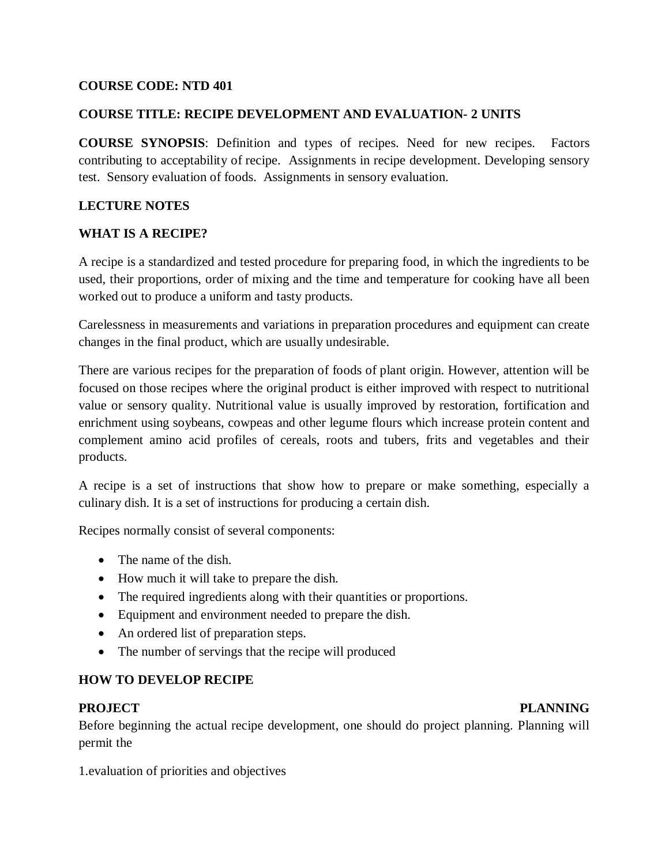#### **COURSE CODE: NTD 401**

#### **COURSE TITLE: RECIPE DEVELOPMENT AND EVALUATION- 2 UNITS**

**COURSE SYNOPSIS**: Definition and types of recipes. Need for new recipes. Factors contributing to acceptability of recipe. Assignments in recipe development. Developing sensory test. Sensory evaluation of foods. Assignments in sensory evaluation.

#### **LECTURE NOTES**

#### **WHAT IS A RECIPE?**

A recipe is a standardized and tested procedure for preparing food, in which the ingredients to be used, their proportions, order of mixing and the time and temperature for cooking have all been worked out to produce a uniform and tasty products.

Carelessness in measurements and variations in preparation procedures and equipment can create changes in the final product, which are usually undesirable.

There are various recipes for the preparation of foods of plant origin. However, attention will be focused on those recipes where the original product is either improved with respect to nutritional value or sensory quality. Nutritional value is usually improved by restoration, fortification and enrichment using soybeans, cowpeas and other legume flours which increase protein content and complement amino acid profiles of cereals, roots and tubers, frits and vegetables and their products.

A recipe is a set of instructions that show how to prepare or make something, especially a culinary dish. It is a set of instructions for producing a certain dish.

Recipes normally consist of several components:

- The name of the dish.
- How much it will take to prepare the dish.
- The required ingredients along with their quantities or proportions.
- Equipment and environment needed to prepare the dish.
- An ordered list of preparation steps.
- The number of servings that the recipe will produced

#### **HOW TO DEVELOP RECIPE**

#### PROJECT PLANNING

Before beginning the actual recipe development, one should do project planning. Planning will permit the

1.evaluation of priorities and objectives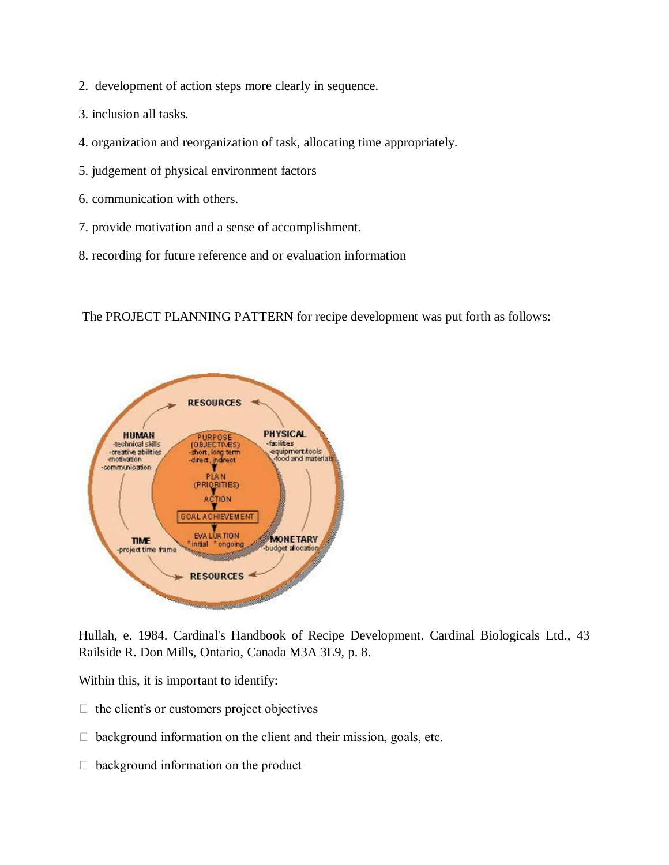- 2. development of action steps more clearly in sequence.
- 3. inclusion all tasks.
- 4. organization and reorganization of task, allocating time appropriately.
- 5. judgement of physical environment factors
- 6. communication with others.
- 7. provide motivation and a sense of accomplishment.
- 8. recording for future reference and or evaluation information

The PROJECT PLANNING PATTERN for recipe development was put forth as follows:



Hullah, e. 1984. Cardinal's Handbook of Recipe Development. Cardinal Biologicals Ltd., 43 Railside R. Don Mills, Ontario, Canada M3A 3L9, p. 8.

Within this, it is important to identify:

- $\Box$  the client's or customers project objectives
- $\Box$  background information on the client and their mission, goals, etc.
- $\Box$  background information on the product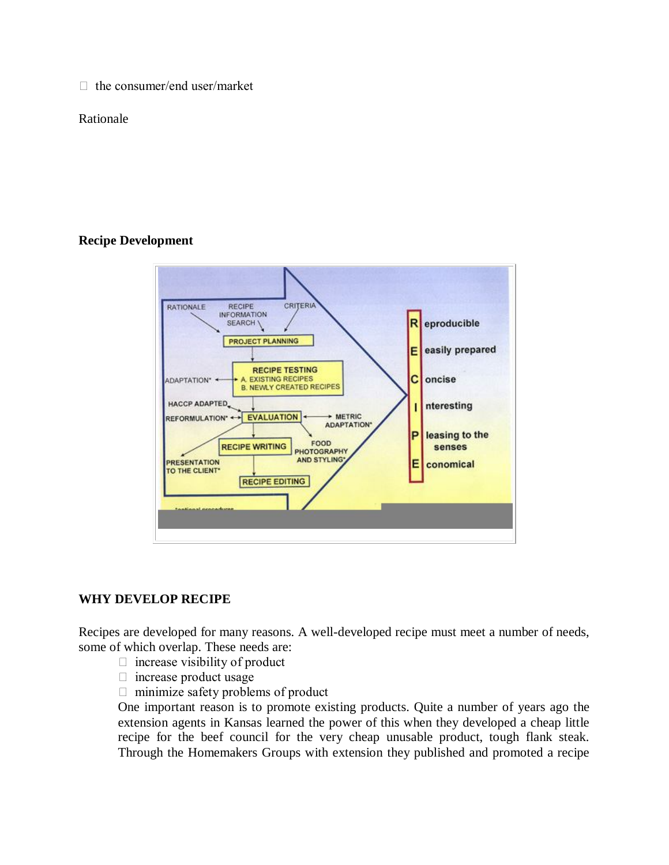$\Box$  the consumer/end user/market

#### Rationale

#### **Recipe Development**



#### **WHY DEVELOP RECIPE**

Recipes are developed for many reasons. A well-developed recipe must meet a number of needs, some of which overlap. These needs are:

- $\Box$  increase visibility of product
- $\Box$  increase product usage
- $\Box$  minimize safety problems of product

One important reason is to promote existing products. Quite a number of years ago the extension agents in Kansas learned the power of this when they developed a cheap little recipe for the beef council for the very cheap unusable product, tough flank steak. Through the Homemakers Groups with extension they published and promoted a recipe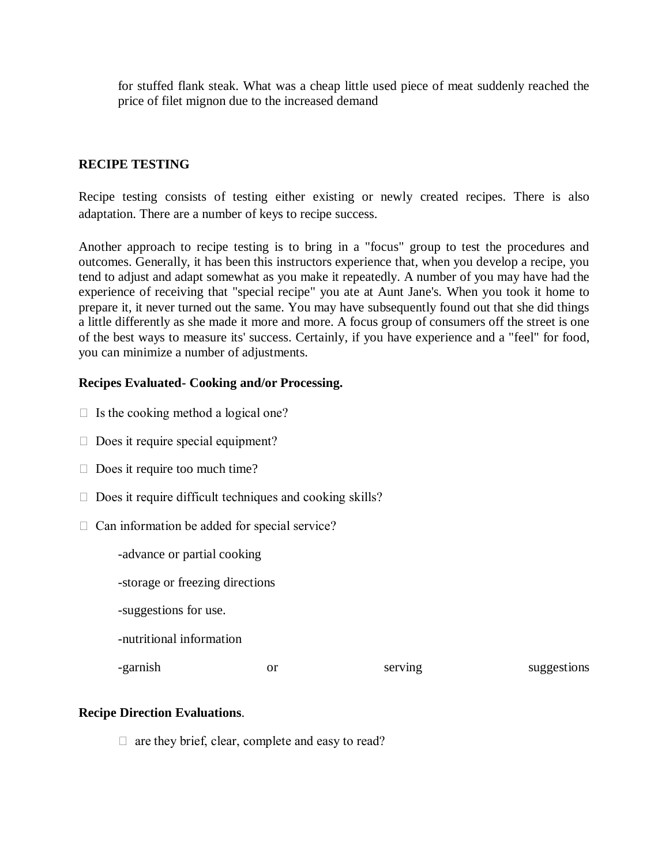for stuffed flank steak. What was a cheap little used piece of meat suddenly reached the price of filet mignon due to the increased demand

#### **RECIPE TESTING**

Recipe testing consists of testing either existing or newly created recipes. There is also adaptation. There are a number of keys to recipe success.

Another approach to recipe testing is to bring in a "focus" group to test the procedures and outcomes. Generally, it has been this instructors experience that, when you develop a recipe, you tend to adjust and adapt somewhat as you make it repeatedly. A number of you may have had the experience of receiving that "special recipe" you ate at Aunt Jane's. When you took it home to prepare it, it never turned out the same. You may have subsequently found out that she did things a little differently as she made it more and more. A focus group of consumers off the street is one of the best ways to measure its' success. Certainly, if you have experience and a "feel" for food, you can minimize a number of adjustments.

#### **Recipes Evaluated- Cooking and/or Processing.**

- $\Box$  Is the cooking method a logical one?
- $\Box$  Does it require special equipment?
- $\Box$  Does it require too much time?
- $\Box$  Does it require difficult techniques and cooking skills?
- $\Box$  Can information be added for special service?
	- -advance or partial cooking
	- -storage or freezing directions
	- -suggestions for use.
	- -nutritional information

-garnish or serving suggestions

#### **Recipe Direction Evaluations**.

 $\Box$  are they brief, clear, complete and easy to read?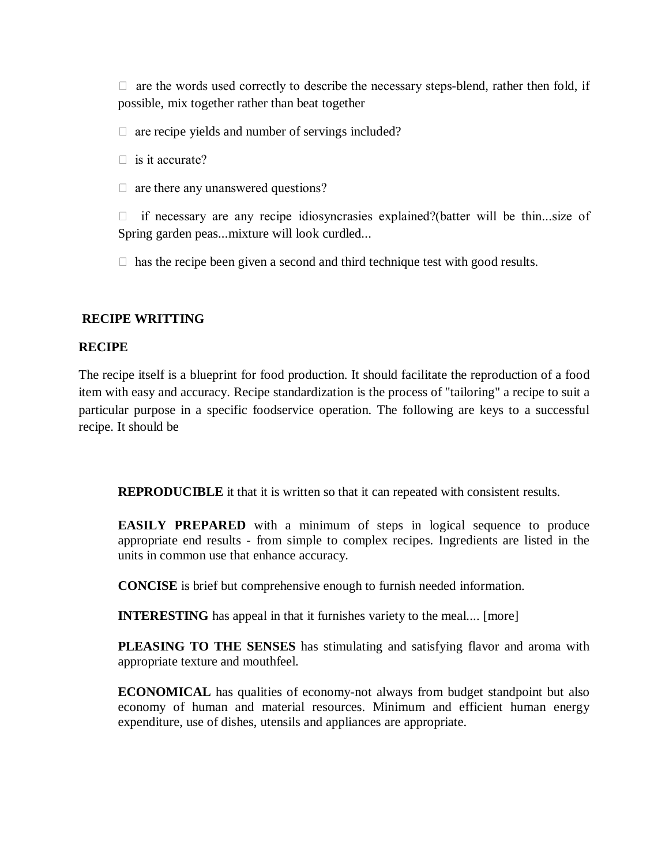$\Box$  are the words used correctly to describe the necessary steps-blend, rather then fold, if possible, mix together rather than beat together

 $\Box$  are recipe yields and number of servings included?

 $\Box$  is it accurate?

 $\Box$  are there any unanswered questions?

 $\Box$  if necessary are any recipe idiosyncrasies explained?(batter will be thin...size of Spring garden peas...mixture will look curdled...

 $\Box$  has the recipe been given a second and third technique test with good results.

#### **RECIPE WRITTING**

#### **RECIPE**

The recipe itself is a blueprint for food production. It should facilitate the reproduction of a food item with easy and accuracy. Recipe standardization is the process of "tailoring" a recipe to suit a particular purpose in a specific foodservice operation. The following are keys to a successful recipe. It should be

**REPRODUCIBLE** it that it is written so that it can repeated with consistent results.

**EASILY PREPARED** with a minimum of steps in logical sequence to produce appropriate end results - from simple to complex recipes. Ingredients are listed in the units in common use that enhance accuracy.

**CONCISE** is brief but comprehensive enough to furnish needed information.

**INTERESTING** has appeal in that it furnishes variety to the meal.... [more]

**PLEASING TO THE SENSES** has stimulating and satisfying flavor and aroma with appropriate texture and mouthfeel.

**ECONOMICAL** has qualities of economy-not always from budget standpoint but also economy of human and material resources. Minimum and efficient human energy expenditure, use of dishes, utensils and appliances are appropriate.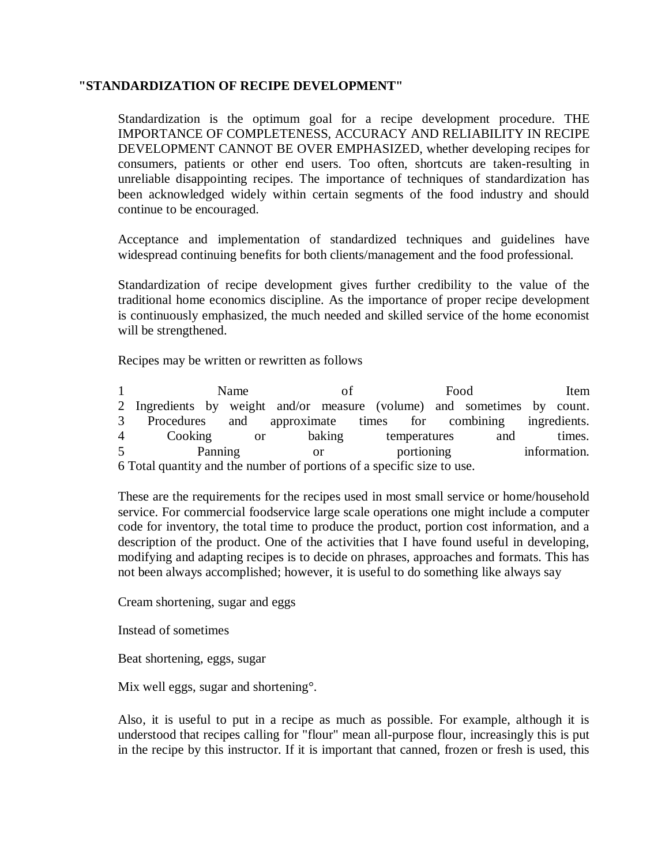#### **"STANDARDIZATION OF RECIPE DEVELOPMENT"**

Standardization is the optimum goal for a recipe development procedure. THE IMPORTANCE OF COMPLETENESS, ACCURACY AND RELIABILITY IN RECIPE DEVELOPMENT CANNOT BE OVER EMPHASIZED, whether developing recipes for consumers, patients or other end users. Too often, shortcuts are taken-resulting in unreliable disappointing recipes. The importance of techniques of standardization has been acknowledged widely within certain segments of the food industry and should continue to be encouraged.

Acceptance and implementation of standardized techniques and guidelines have widespread continuing benefits for both clients/management and the food professional.

Standardization of recipe development gives further credibility to the value of the traditional home economics discipline. As the importance of proper recipe development is continuously emphasized, the much needed and skilled service of the home economist will be strengthened.

Recipes may be written or rewritten as follows

1 Name of Food Item 2 Ingredients by weight and/or measure (volume) and sometimes by count. 3 Procedures and approximate times for combining ingredients. 4 Cooking or baking temperatures and times. 5 **Panning**  portioning information. 6 Total quantity and the number of portions of a specific size to use.

These are the requirements for the recipes used in most small service or home/household service. For commercial foodservice large scale operations one might include a computer code for inventory, the total time to produce the product, portion cost information, and a description of the product. One of the activities that I have found useful in developing, modifying and adapting recipes is to decide on phrases, approaches and formats. This has not been always accomplished; however, it is useful to do something like always say

Cream shortening, sugar and eggs

Instead of sometimes

Beat shortening, eggs, sugar

Mix well eggs, sugar and shortening<sup>o</sup>.

Also, it is useful to put in a recipe as much as possible. For example, although it is understood that recipes calling for "flour" mean all-purpose flour, increasingly this is put in the recipe by this instructor. If it is important that canned, frozen or fresh is used, this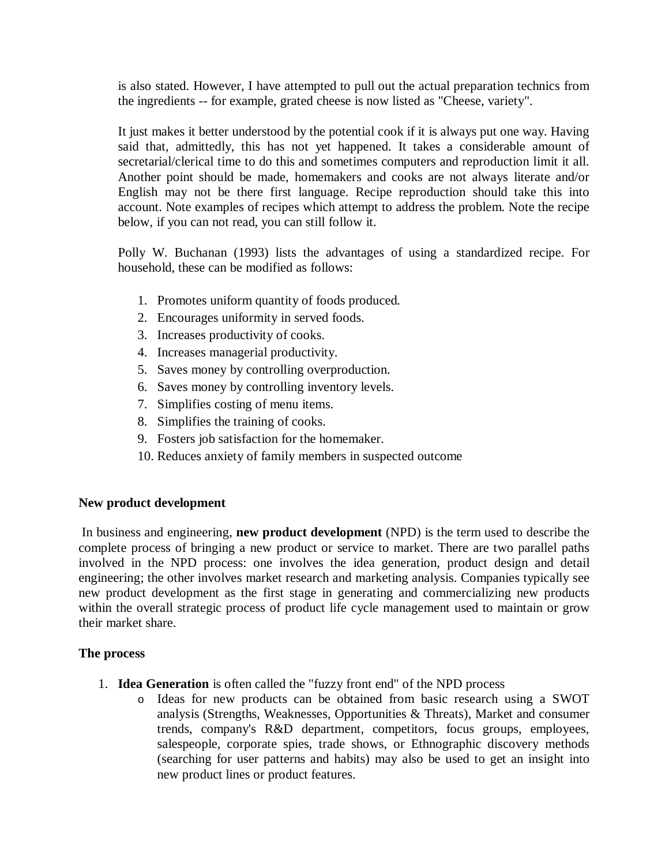is also stated. However, I have attempted to pull out the actual preparation technics from the ingredients -- for example, grated cheese is now listed as "Cheese, variety".

It just makes it better understood by the potential cook if it is always put one way. Having said that, admittedly, this has not yet happened. It takes a considerable amount of secretarial/clerical time to do this and sometimes computers and reproduction limit it all. Another point should be made, homemakers and cooks are not always literate and/or English may not be there first language. Recipe reproduction should take this into account. Note examples of recipes which attempt to address the problem. Note the recipe below, if you can not read, you can still follow it.

Polly W. Buchanan (1993) lists the advantages of using a standardized recipe. For household, these can be modified as follows:

- 1. Promotes uniform quantity of foods produced.
- 2. Encourages uniformity in served foods.
- 3. Increases productivity of cooks.
- 4. Increases managerial productivity.
- 5. Saves money by controlling overproduction.
- 6. Saves money by controlling inventory levels.
- 7. Simplifies costing of menu items.
- 8. Simplifies the training of cooks.
- 9. Fosters job satisfaction for the homemaker.
- 10. Reduces anxiety of family members in suspected outcome

#### **New product development**

In business and engineering, **new product development** (NPD) is the term used to describe the complete process of bringing a new product or service to market. There are two parallel paths involved in the NPD process: one involves the idea generation, product design and detail engineering; the other involves market research and marketing analysis. Companies typically see new product development as the first stage in generating and commercializing new products within the overall strategic process of product life cycle management used to maintain or grow their market share.

#### **The process**

- 1. **Idea Generation** is often called the "fuzzy front end" of the NPD process
	- o Ideas for new products can be obtained from basic research using a SWOT analysis (Strengths, Weaknesses, Opportunities & Threats), Market and consumer trends, company's R&D department, competitors, focus groups, employees, salespeople, corporate spies, trade shows, or Ethnographic discovery methods (searching for user patterns and habits) may also be used to get an insight into new product lines or product features.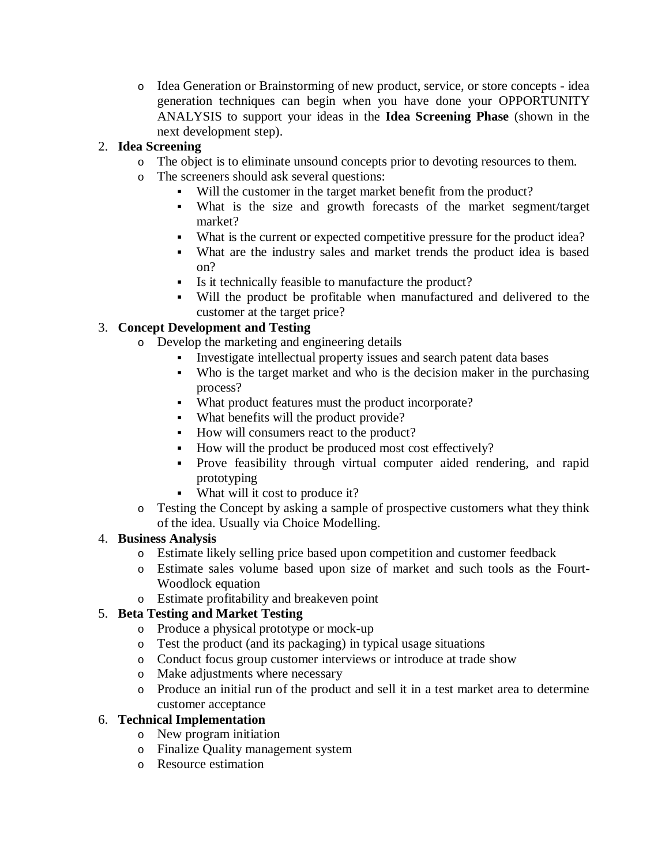o Idea Generation or Brainstorming of new product, service, or store concepts - idea generation techniques can begin when you have done your OPPORTUNITY ANALYSIS to support your ideas in the **Idea Screening Phase** (shown in the next development step).

#### 2. **Idea Screening**

- o The object is to eliminate unsound concepts prior to devoting resources to them.
- o The screeners should ask several questions:
	- Will the customer in the target market benefit from the product?
	- What is the size and growth forecasts of the market segment/target market?
	- What is the current or expected competitive pressure for the product idea?
	- What are the industry sales and market trends the product idea is based on?
	- Is it technically feasible to manufacture the product?
	- Will the product be profitable when manufactured and delivered to the customer at the target price?

#### 3. **Concept Development and Testing**

- o Develop the marketing and engineering details
	- Investigate intellectual property issues and search patent data bases
	- Who is the target market and who is the decision maker in the purchasing process?
	- What product features must the product incorporate?
	- What benefits will the product provide?
	- How will consumers react to the product?
	- How will the product be produced most cost effectively?
	- Prove feasibility through virtual computer aided rendering, and rapid prototyping
	- What will it cost to produce it?
- o Testing the Concept by asking a sample of prospective customers what they think of the idea. Usually via Choice Modelling.

#### 4. **Business Analysis**

- o Estimate likely selling price based upon competition and customer feedback
- o Estimate sales volume based upon size of market and such tools as the Fourt-Woodlock equation
- o Estimate profitability and breakeven point

#### 5. **Beta Testing and Market Testing**

- o Produce a physical prototype or mock-up
- o Test the product (and its packaging) in typical usage situations
- o Conduct focus group customer interviews or introduce at trade show
- o Make adjustments where necessary
- o Produce an initial run of the product and sell it in a test market area to determine customer acceptance

#### 6. **Technical Implementation**

- o New program initiation
- o Finalize Quality management system
- o Resource estimation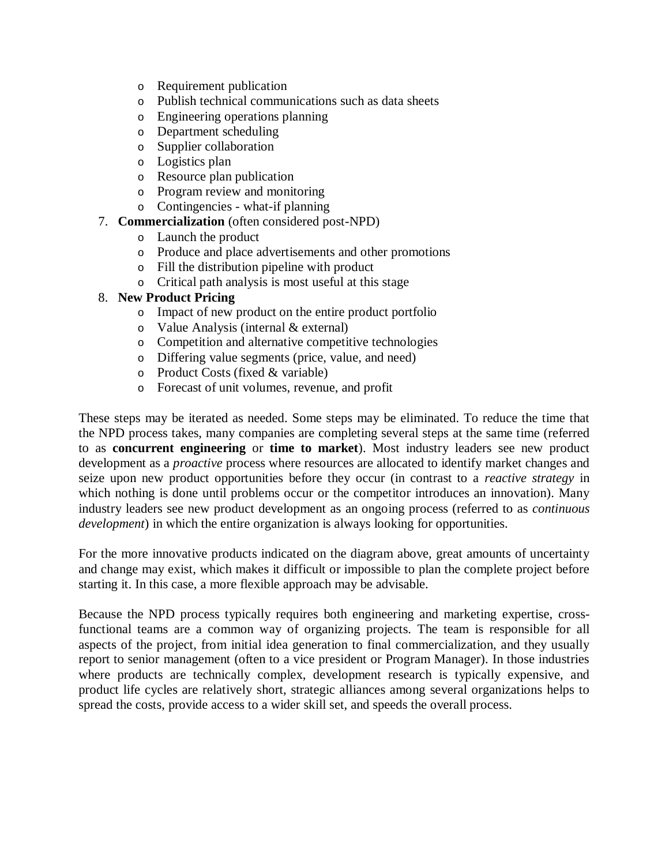- o Requirement publication
- o Publish technical communications such as data sheets
- o Engineering operations planning
- o Department scheduling
- o Supplier collaboration
- o Logistics plan
- o Resource plan publication
- o Program review and monitoring
- o Contingencies what-if planning

#### 7. **Commercialization** (often considered post-NPD)

- o Launch the product
- o Produce and place advertisements and other promotions
- o Fill the distribution pipeline with product
- o Critical path analysis is most useful at this stage

#### 8. **New Product Pricing**

- o Impact of new product on the entire product portfolio
- o Value Analysis (internal & external)
- o Competition and alternative competitive technologies
- o Differing value segments (price, value, and need)
- o Product Costs (fixed & variable)
- o Forecast of unit volumes, revenue, and profit

These steps may be iterated as needed. Some steps may be eliminated. To reduce the time that the NPD process takes, many companies are completing several steps at the same time (referred to as **concurrent engineering** or **time to market**). Most industry leaders see new product development as a *proactive* process where resources are allocated to identify market changes and seize upon new product opportunities before they occur (in contrast to a *reactive strategy* in which nothing is done until problems occur or the competitor introduces an innovation). Many industry leaders see new product development as an ongoing process (referred to as *continuous development*) in which the entire organization is always looking for opportunities.

For the more innovative products indicated on the diagram above, great amounts of uncertainty and change may exist, which makes it difficult or impossible to plan the complete project before starting it. In this case, a more flexible approach may be advisable.

Because the NPD process typically requires both engineering and marketing expertise, crossfunctional teams are a common way of organizing projects. The team is responsible for all aspects of the project, from initial idea generation to final commercialization, and they usually report to senior management (often to a vice president or Program Manager). In those industries where products are technically complex, development research is typically expensive, and product life cycles are relatively short, strategic alliances among several organizations helps to spread the costs, provide access to a wider skill set, and speeds the overall process.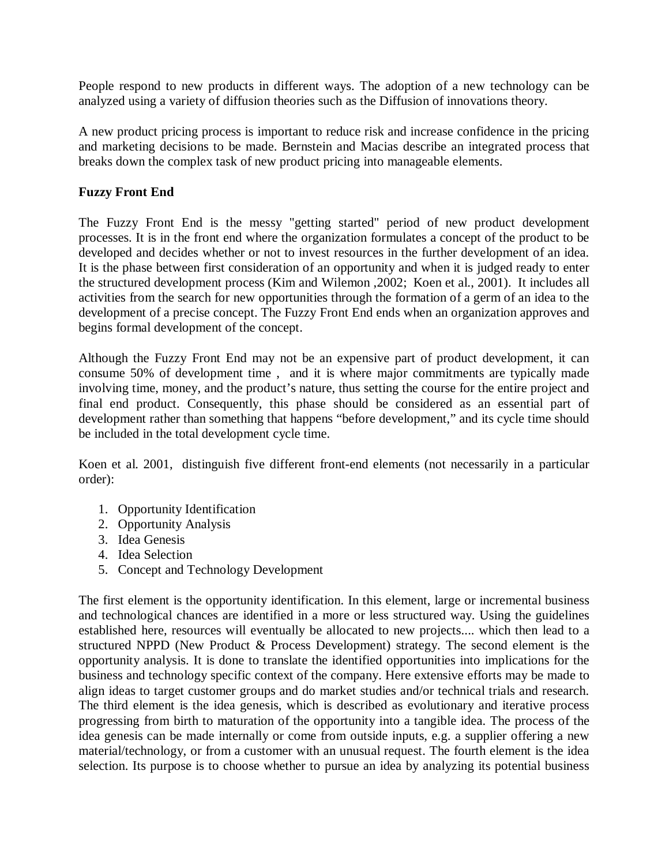People respond to new products in different ways. The adoption of a new technology can be analyzed using a variety of diffusion theories such as the Diffusion of innovations theory.

A new product pricing process is important to reduce risk and increase confidence in the pricing and marketing decisions to be made. Bernstein and Macias describe an integrated process that breaks down the complex task of new product pricing into manageable elements.

#### **Fuzzy Front End**

The Fuzzy Front End is the messy "getting started" period of new product development processes. It is in the front end where the organization formulates a concept of the product to be developed and decides whether or not to invest resources in the further development of an idea. It is the phase between first consideration of an opportunity and when it is judged ready to enter the structured development process (Kim and Wilemon ,2002; Koen et al., 2001). It includes all activities from the search for new opportunities through the formation of a germ of an idea to the development of a precise concept. The Fuzzy Front End ends when an organization approves and begins formal development of the concept.

Although the Fuzzy Front End may not be an expensive part of product development, it can consume 50% of development time , and it is where major commitments are typically made involving time, money, and the product's nature, thus setting the course for the entire project and final end product. Consequently, this phase should be considered as an essential part of development rather than something that happens "before development," and its cycle time should be included in the total development cycle time.

Koen et al. 2001, distinguish five different front-end elements (not necessarily in a particular order):

- 1. Opportunity Identification
- 2. Opportunity Analysis
- 3. Idea Genesis
- 4. Idea Selection
- 5. Concept and Technology Development

The first element is the opportunity identification. In this element, large or incremental business and technological chances are identified in a more or less structured way. Using the guidelines established here, resources will eventually be allocated to new projects.... which then lead to a structured NPPD (New Product & Process Development) strategy. The second element is the opportunity analysis. It is done to translate the identified opportunities into implications for the business and technology specific context of the company. Here extensive efforts may be made to align ideas to target customer groups and do market studies and/or technical trials and research. The third element is the idea genesis, which is described as evolutionary and iterative process progressing from birth to maturation of the opportunity into a tangible idea. The process of the idea genesis can be made internally or come from outside inputs, e.g. a supplier offering a new material/technology, or from a customer with an unusual request. The fourth element is the idea selection. Its purpose is to choose whether to pursue an idea by analyzing its potential business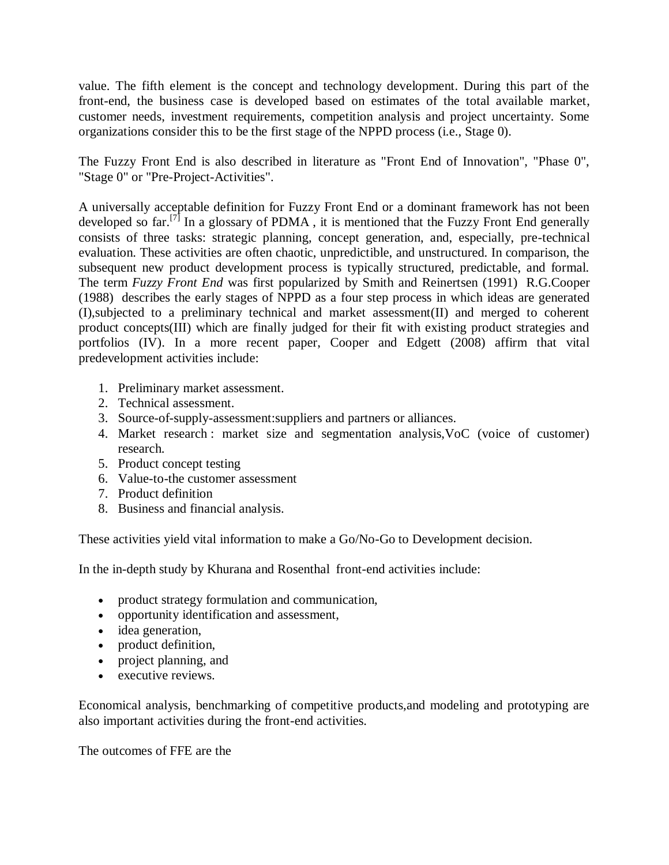value. The fifth element is the concept and technology development. During this part of the front-end, the business case is developed based on estimates of the total available market, customer needs, investment requirements, competition analysis and project uncertainty. Some organizations consider this to be the first stage of the NPPD process (i.e., Stage 0).

The Fuzzy Front End is also described in literature as "Front End of Innovation", "Phase 0", "Stage 0" or "Pre-Project-Activities".

A universally acceptable definition for Fuzzy Front End or a dominant framework has not been developed so far.<sup>[7]</sup> In a glossary of PDMA, it is mentioned that the Fuzzy Front End generally consists of three tasks: strategic planning, concept generation, and, especially, pre-technical evaluation. These activities are often chaotic, unpredictible, and unstructured. In comparison, the subsequent new product development process is typically structured, predictable, and formal. The term *Fuzzy Front End* was first popularized by Smith and Reinertsen (1991) R.G.Cooper (1988) describes the early stages of NPPD as a four step process in which ideas are generated (I),subjected to a preliminary technical and market assessment(II) and merged to coherent product concepts(III) which are finally judged for their fit with existing product strategies and portfolios (IV). In a more recent paper, Cooper and Edgett (2008) affirm that vital predevelopment activities include:

- 1. Preliminary market assessment.
- 2. Technical assessment.
- 3. Source-of-supply-assessment:suppliers and partners or alliances.
- 4. Market research : market size and segmentation analysis,VoC (voice of customer) research.
- 5. Product concept testing
- 6. Value-to-the customer assessment
- 7. Product definition
- 8. Business and financial analysis.

These activities yield vital information to make a Go/No-Go to Development decision.

In the in-depth study by Khurana and Rosenthal front-end activities include:

- product strategy formulation and communication,
- opportunity identification and assessment,
- idea generation,
- product definition,
- project planning, and
- executive reviews.

Economical analysis, benchmarking of competitive products,and modeling and prototyping are also important activities during the front-end activities.

The outcomes of FFE are the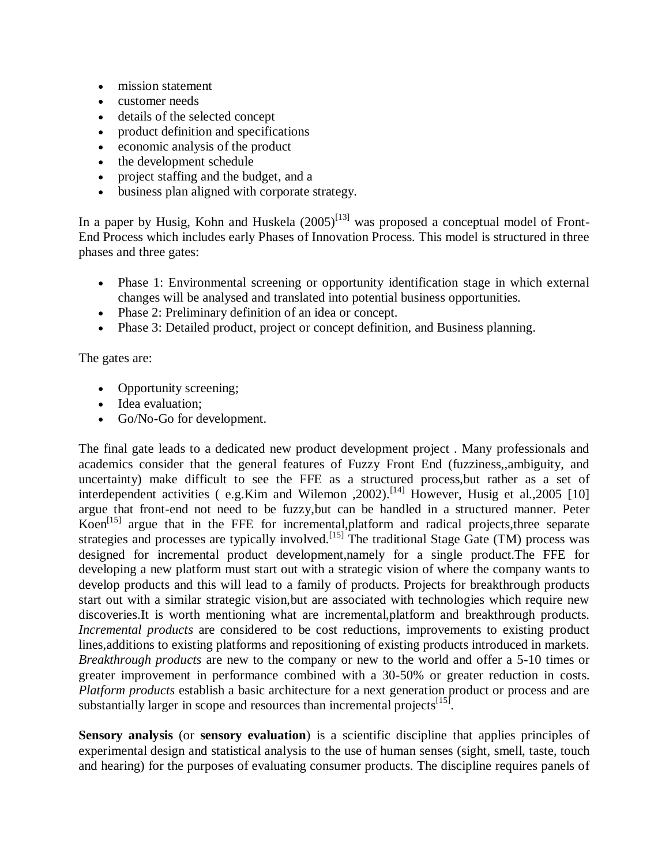- mission statement
- customer needs
- details of the selected concept
- product definition and specifications
- economic analysis of the product
- the development schedule
- project staffing and the budget, and a
- business plan aligned with corporate strategy.

In a paper by Husig, Kohn and Huskela  $(2005)^{[13]}$  was proposed a conceptual model of Front-End Process which includes early Phases of Innovation Process. This model is structured in three phases and three gates:

- Phase 1: Environmental screening or opportunity identification stage in which external changes will be analysed and translated into potential business opportunities.
- Phase 2: Preliminary definition of an idea or concept.
- Phase 3: Detailed product, project or concept definition, and Business planning.

The gates are:

- Opportunity screening;
- Idea evaluation:
- Go/No-Go for development.

The final gate leads to a dedicated new product development project . Many professionals and academics consider that the general features of Fuzzy Front End (fuzziness,,ambiguity, and uncertainty) make difficult to see the FFE as a structured process,but rather as a set of interdependent activities ( $e.g.Kim$  and Wilemon , 2002).<sup>[14]</sup> However, Husig et al., 2005 [10] argue that front-end not need to be fuzzy,but can be handled in a structured manner. Peter Koen<sup>[15]</sup> argue that in the FFE for incremental,platform and radical projects, three separate strategies and processes are typically involved.<sup>[15]</sup> The traditional Stage Gate (TM) process was designed for incremental product development,namely for a single product.The FFE for developing a new platform must start out with a strategic vision of where the company wants to develop products and this will lead to a family of products. Projects for breakthrough products start out with a similar strategic vision,but are associated with technologies which require new discoveries.It is worth mentioning what are incremental,platform and breakthrough products. *Incremental products* are considered to be cost reductions, improvements to existing product lines,additions to existing platforms and repositioning of existing products introduced in markets. *Breakthrough products* are new to the company or new to the world and offer a 5-10 times or greater improvement in performance combined with a 30-50% or greater reduction in costs. *Platform products* establish a basic architecture for a next generation product or process and are substantially larger in scope and resources than incremental projects<sup>[15]</sup>.

**Sensory analysis** (or **sensory evaluation**) is a scientific discipline that applies principles of experimental design and statistical analysis to the use of human senses (sight, smell, taste, touch and hearing) for the purposes of evaluating consumer products. The discipline requires panels of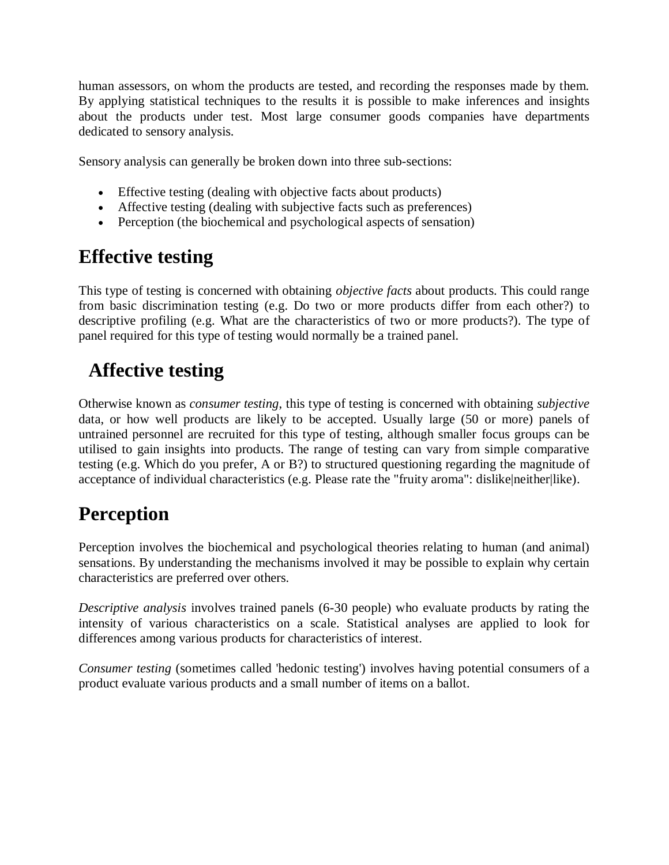human assessors, on whom the products are tested, and recording the responses made by them. By applying statistical techniques to the results it is possible to make inferences and insights about the products under test. Most large consumer goods companies have departments dedicated to sensory analysis.

Sensory analysis can generally be broken down into three sub-sections:

- Effective testing (dealing with objective facts about products)
- Affective testing (dealing with subjective facts such as preferences)
- Perception (the biochemical and psychological aspects of sensation)

## **Effective testing**

This type of testing is concerned with obtaining *objective facts* about products. This could range from basic discrimination testing (e.g. Do two or more products differ from each other?) to descriptive profiling (e.g. What are the characteristics of two or more products?). The type of panel required for this type of testing would normally be a trained panel.

## **Affective testing**

Otherwise known as *consumer testing*, this type of testing is concerned with obtaining *subjective* data, or how well products are likely to be accepted. Usually large (50 or more) panels of untrained personnel are recruited for this type of testing, although smaller focus groups can be utilised to gain insights into products. The range of testing can vary from simple comparative testing (e.g. Which do you prefer, A or B?) to structured questioning regarding the magnitude of acceptance of individual characteristics (e.g. Please rate the "fruity aroma": dislike|neither|like).

## **Perception**

Perception involves the biochemical and psychological theories relating to human (and animal) sensations. By understanding the mechanisms involved it may be possible to explain why certain characteristics are preferred over others.

*Descriptive analysis* involves trained panels (6-30 people) who evaluate products by rating the intensity of various characteristics on a scale. Statistical analyses are applied to look for differences among various products for characteristics of interest.

*Consumer testing* (sometimes called 'hedonic testing') involves having potential consumers of a product evaluate various products and a small number of items on a ballot.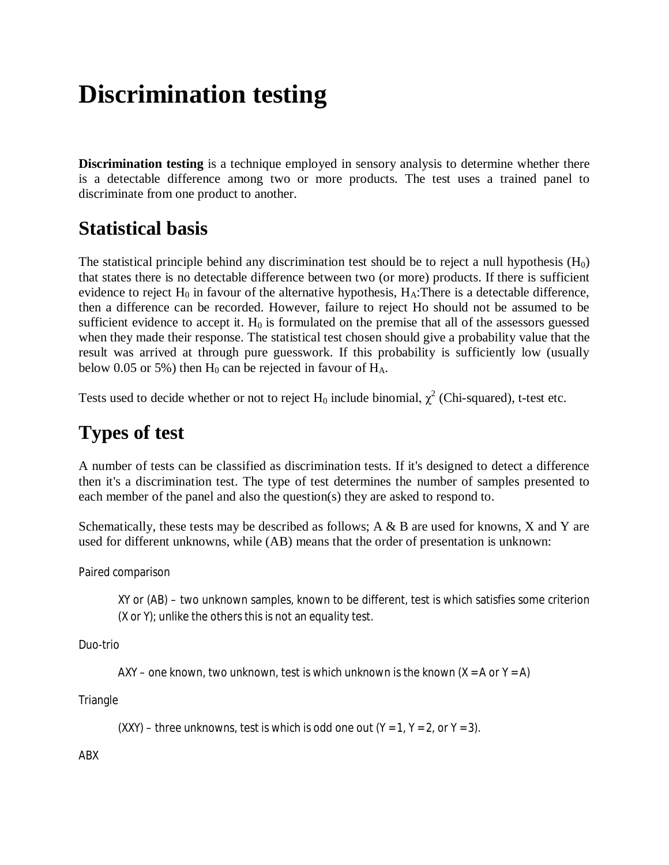# **Discrimination testing**

**Discrimination testing** is a technique employed in sensory analysis to determine whether there is a detectable difference among two or more products. The test uses a trained panel to discriminate from one product to another.

## **Statistical basis**

The statistical principle behind any discrimination test should be to reject a null hypothesis  $(H_0)$ that states there is no detectable difference between two (or more) products. If there is sufficient evidence to reject  $H_0$  in favour of the alternative hypothesis,  $H_A$ : There is a detectable difference, then a difference can be recorded. However, failure to reject Ho should not be assumed to be sufficient evidence to accept it.  $H_0$  is formulated on the premise that all of the assessors guessed when they made their response. The statistical test chosen should give a probability value that the result was arrived at through pure guesswork. If this probability is sufficiently low (usually below 0.05 or 5%) then  $H_0$  can be rejected in favour of  $H_A$ .

Tests used to decide whether or not to reject  $H_0$  include binomial,  $\chi^2$  (Chi-squared), t-test etc.

## **Types of test**

A number of tests can be classified as discrimination tests. If it's designed to detect a difference then it's a discrimination test. The type of test determines the number of samples presented to each member of the panel and also the question(s) they are asked to respond to.

Schematically, these tests may be described as follows; A & B are used for knowns, X and Y are used for different unknowns, while (AB) means that the order of presentation is unknown:

Paired comparison

XY or (AB) – two unknown samples, known to be different, test is which satisfies some criterion (X or Y); unlike the others this is not an *equality* test.

Duo-trio

AXY – one known, two unknown, test is which unknown is the known  $(X = A \text{ or } Y = A)$ 

**Triangle** 

 $(XXY)$  – three unknowns, test is which is odd one out  $(Y = 1, Y = 2, \text{ or } Y = 3)$ .

ABX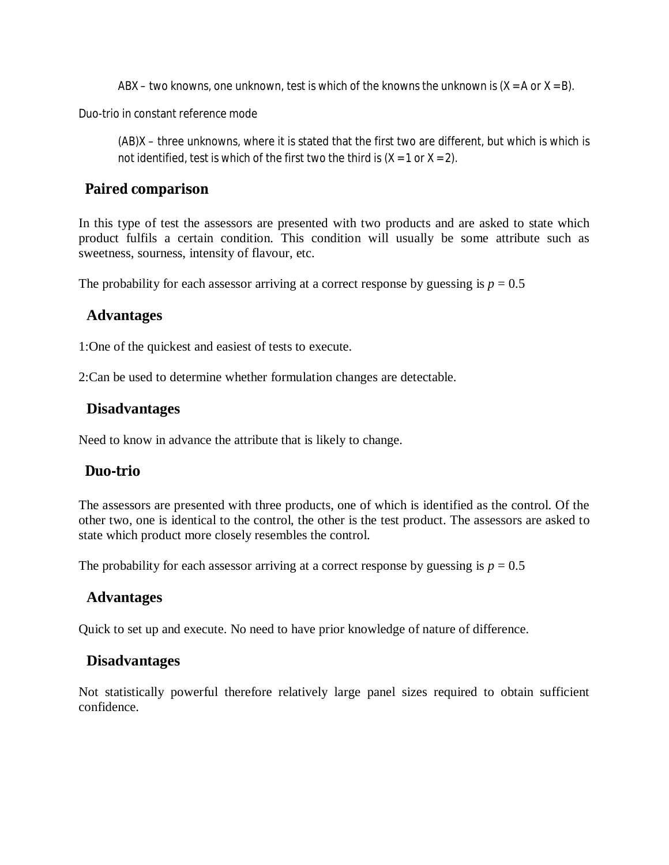ABX – two knowns, one unknown, test is which of the knowns the unknown is  $(X = A \text{ or } X = B)$ .

Duo-trio in constant reference mode

(AB)X – three unknowns, where it is stated that the first two are different, but which is which is not identified, test is which of the first two the third is  $(X = 1 \text{ or } X = 2)$ .

#### **Paired comparison**

In this type of test the assessors are presented with two products and are asked to state which product fulfils a certain condition. This condition will usually be some attribute such as sweetness, sourness, intensity of flavour, etc.

The probability for each assessor arriving at a correct response by guessing is  $p = 0.5$ 

#### **Advantages**

1:One of the quickest and easiest of tests to execute.

2:Can be used to determine whether formulation changes are detectable.

#### **Disadvantages**

Need to know in advance the attribute that is likely to change.

#### **Duo-trio**

The assessors are presented with three products, one of which is identified as the control. Of the other two, one is identical to the control, the other is the test product. The assessors are asked to state which product more closely resembles the control.

The probability for each assessor arriving at a correct response by guessing is  $p = 0.5$ 

#### **Advantages**

Quick to set up and execute. No need to have prior knowledge of nature of difference.

#### **Disadvantages**

Not statistically powerful therefore relatively large panel sizes required to obtain sufficient confidence.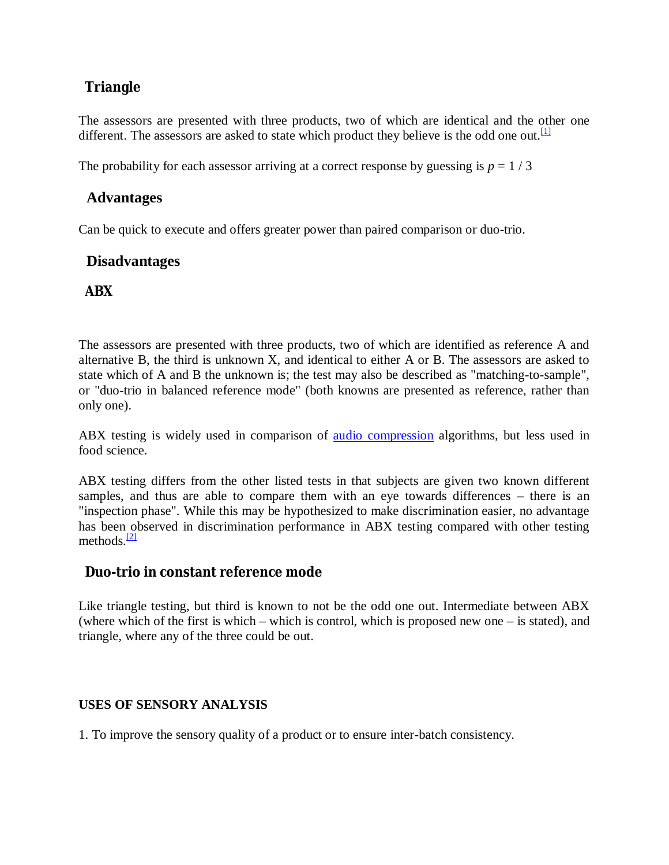### **Triangle**

The assessors are presented with three products, two of which are identical and the other one different. The assessors are asked to state which product they believe is the odd one out.<sup>[1]</sup>

The probability for each assessor arriving at a correct response by guessing is  $p = 1/3$ 

#### **Advantages**

Can be quick to execute and offers greater power than paired comparison or duo-trio.

#### **Disadvantages**

#### **ABX**

The assessors are presented with three products, two of which are identified as reference A and alternative B, the third is unknown X, and identical to either A or B. The assessors are asked to state which of A and B the unknown is; the test may also be described as "matching-to-sample", or "duo-trio in balanced reference mode" (both knowns are presented as reference, rather than only one).

ABX testing is widely used in comparison of audio compression algorithms, but less used in food science.

ABX testing differs from the other listed tests in that subjects are given two known different samples, and thus are able to compare them with an eye towards differences – there is an "inspection phase". While this may be hypothesized to make discrimination easier, no advantage has been observed in discrimination performance in ABX testing compared with other testing methods. $\frac{[2]}{[2]}$ 

#### **Duo-trio in constant reference mode**

Like triangle testing, but third is known to not be the odd one out. Intermediate between ABX (where which of the first is which – which is control, which is proposed new one – is stated), and triangle, where any of the three could be out.

#### **USES OF SENSORY ANALYSIS**

1. To improve the sensory quality of a product or to ensure inter-batch consistency.